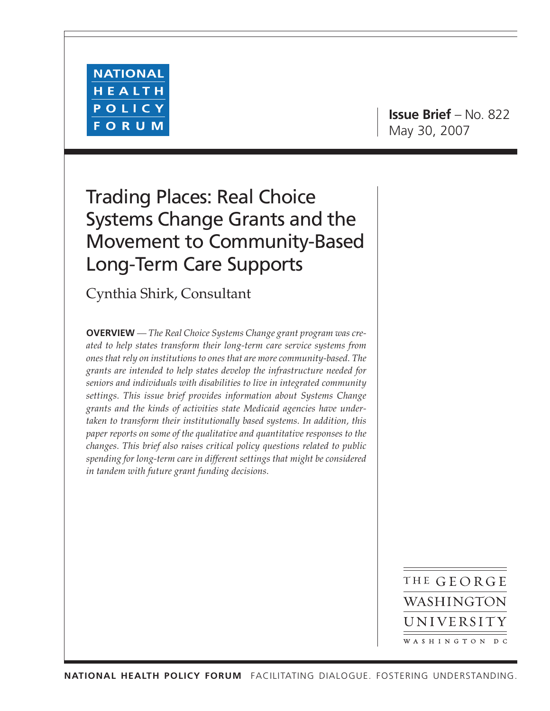

**Issue Brief** – No. 822 May 30, 2007

# Trading Places: Real Choice Systems Change Grants and the Movement to Community-Based Long-Term Care Supports

Cynthia Shirk, Consultant

**OVERVIEW** *— The Real Choice Systems Change grant program was created to help states transform their long-term care service systems from ones that rely on institutions to ones that are more community-based. The grants are intended to help states develop the infrastructure needed for seniors and individuals with disabilities to live in integrated community settings. This issue brief provides information about Systems Change grants and the kinds of activities state Medicaid agencies have undertaken to transform their institutionally based systems. In addition, this paper reports on some of the qualitative and quantitative responses to the changes. This brief also raises critical policy questions related to public spending for long-term care in different settings that might be considered in tandem with future grant funding decisions.*

> THE GEORGE WASHINGTON UNIVERSITY WASHINGTON DC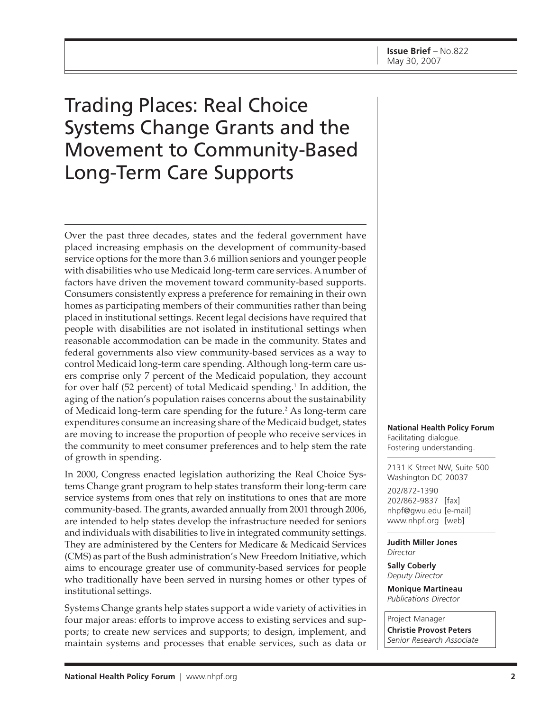# Trading Places: Real Choice Systems Change Grants and the Movement to Community-Based Long-Term Care Supports

Over the past three decades, states and the federal government have placed increasing emphasis on the development of community-based service options for the more than 3.6 million seniors and younger people with disabilities who use Medicaid long-term care services. A number of factors have driven the movement toward community-based supports. Consumers consistently express a preference for remaining in their own homes as participating members of their communities rather than being placed in institutional settings. Recent legal decisions have required that people with disabilities are not isolated in institutional settings when reasonable accommodation can be made in the community. States and federal governments also view community-based services as a way to control Medicaid long-term care spending. Although long-term care users comprise only 7 percent of the Medicaid population, they account for over half (52 percent) of total Medicaid spending.<sup>1</sup> In addition, the aging of the nation's population raises concerns about the sustainability of Medicaid long-term care spending for the future.<sup>2</sup> As long-term care expenditures consume an increasing share of the Medicaid budget, states are moving to increase the proportion of people who receive services in the community to meet consumer preferences and to help stem the rate of growth in spending.

In 2000, Congress enacted legislation authorizing the Real Choice Systems Change grant program to help states transform their long-term care service systems from ones that rely on institutions to ones that are more community-based. The grants, awarded annually from 2001 through 2006, are intended to help states develop the infrastructure needed for seniors and individuals with disabilities to live in integrated community settings. They are administered by the Centers for Medicare & Medicaid Services (CMS) as part of the Bush administration's New Freedom Initiative, which aims to encourage greater use of community-based services for people who traditionally have been served in nursing homes or other types of institutional settings.

Systems Change grants help states support a wide variety of activities in four major areas: efforts to improve access to existing services and supports; to create new services and supports; to design, implement, and maintain systems and processes that enable services, such as data or **National Health Policy Forum** Facilitating dialogue. Fostering understanding.

2131 K Street NW, Suite 500 Washington DC 20037

202/872-1390 202/862-9837 [fax] [nhpf@gwu.edu \[e](mailto:nhpf@gwu.edu)-mail] [www.nhpf.org \[w](http://www.nhpf.org)eb]

**Judith Miller Jones** *Director*

**Sally Coberly** *Deputy Director*

**Monique Martineau** *Publications Director*

Project Manager **Christie Provost Peters** *Senior Research Associate*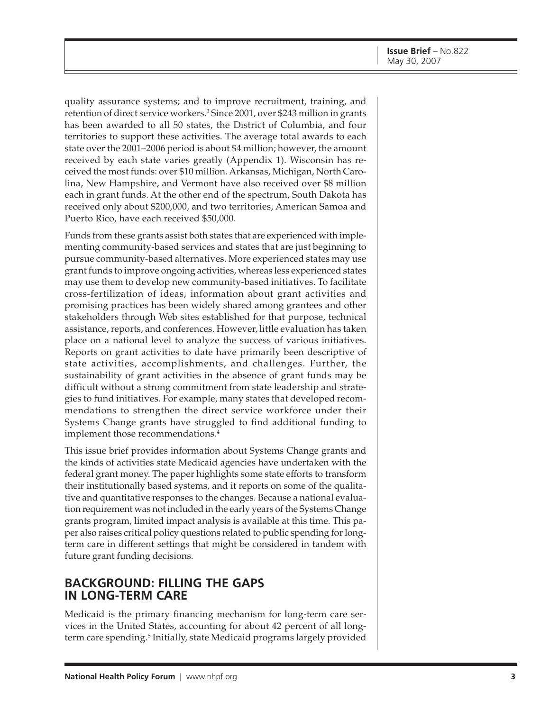quality assurance systems; and to improve recruitment, training, and retention of direct service workers.<sup>3</sup> Since 2001, over \$243 million in grants has been awarded to all 50 states, the District of Columbia, and four territories to support these activities. The average total awards to each state over the 2001–2006 period is about \$4 million; however, the amount received by each state varies greatly (Appendix 1). Wisconsin has received the most funds: over \$10 million. Arkansas, Michigan, North Carolina, New Hampshire, and Vermont have also received over \$8 million each in grant funds. At the other end of the spectrum, South Dakota has received only about \$200,000, and two territories, American Samoa and Puerto Rico, have each received \$50,000.

Funds from these grants assist both states that are experienced with implementing community-based services and states that are just beginning to pursue community-based alternatives. More experienced states may use grant funds to improve ongoing activities, whereas less experienced states may use them to develop new community-based initiatives. To facilitate cross-fertilization of ideas, information about grant activities and promising practices has been widely shared among grantees and other stakeholders through Web sites established for that purpose, technical assistance, reports, and conferences. However, little evaluation has taken place on a national level to analyze the success of various initiatives. Reports on grant activities to date have primarily been descriptive of state activities, accomplishments, and challenges. Further, the sustainability of grant activities in the absence of grant funds may be difficult without a strong commitment from state leadership and strategies to fund initiatives. For example, many states that developed recommendations to strengthen the direct service workforce under their Systems Change grants have struggled to find additional funding to implement those recommendations.<sup>4</sup>

This issue brief provides information about Systems Change grants and the kinds of activities state Medicaid agencies have undertaken with the federal grant money. The paper highlights some state efforts to transform their institutionally based systems, and it reports on some of the qualitative and quantitative responses to the changes. Because a national evaluation requirement was not included in the early years of the Systems Change grants program, limited impact analysis is available at this time. This paper also raises critical policy questions related to public spending for longterm care in different settings that might be considered in tandem with future grant funding decisions.

## **BACKGROUND: FILLING THE GAPS IN LONG-TERM CARE**

Medicaid is the primary financing mechanism for long-term care services in the United States, accounting for about 42 percent of all longterm care spending.<sup>5</sup> Initially, state Medicaid programs largely provided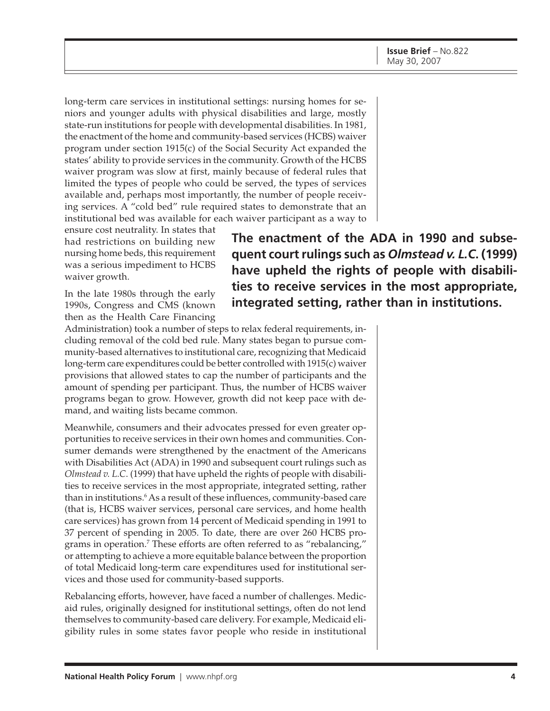long-term care services in institutional settings: nursing homes for seniors and younger adults with physical disabilities and large, mostly state-run institutions for people with developmental disabilities. In 1981, the enactment of the home and community-based services (HCBS) waiver program under section 1915(c) of the Social Security Act expanded the states' ability to provide services in the community. Growth of the HCBS waiver program was slow at first, mainly because of federal rules that limited the types of people who could be served, the types of services available and, perhaps most importantly, the number of people receiving services. A "cold bed" rule required states to demonstrate that an institutional bed was available for each waiver participant as a way to

ensure cost neutrality. In states that had restrictions on building new nursing home beds, this requirement was a serious impediment to HCBS waiver growth.

In the late 1980s through the early 1990s, Congress and CMS (known then as the Health Care Financing

**The enactment of the ADA in 1990 and subsequent court rulings such as** *Olmstead v. L.C***. (1999) have upheld the rights of people with disabilities to receive services in the most appropriate, integrated setting, rather than in institutions.**

Administration) took a number of steps to relax federal requirements, including removal of the cold bed rule. Many states began to pursue community-based alternatives to institutional care, recognizing that Medicaid long-term care expenditures could be better controlled with 1915(c) waiver provisions that allowed states to cap the number of participants and the amount of spending per participant. Thus, the number of HCBS waiver programs began to grow. However, growth did not keep pace with demand, and waiting lists became common.

Meanwhile, consumers and their advocates pressed for even greater opportunities to receive services in their own homes and communities. Consumer demands were strengthened by the enactment of the Americans with Disabilities Act (ADA) in 1990 and subsequent court rulings such as *Olmstead v. L.C*. (1999) that have upheld the rights of people with disabilities to receive services in the most appropriate, integrated setting, rather than in institutions.<sup>6</sup> As a result of these influences, community-based care (that is, HCBS waiver services, personal care services, and home health care services) has grown from 14 percent of Medicaid spending in 1991 to 37 percent of spending in 2005. To date, there are over 260 HCBS programs in operation.<sup>7</sup> These efforts are often referred to as "rebalancing," or attempting to achieve a more equitable balance between the proportion of total Medicaid long-term care expenditures used for institutional services and those used for community-based supports.

Rebalancing efforts, however, have faced a number of challenges. Medicaid rules, originally designed for institutional settings, often do not lend themselves to community-based care delivery. For example, Medicaid eligibility rules in some states favor people who reside in institutional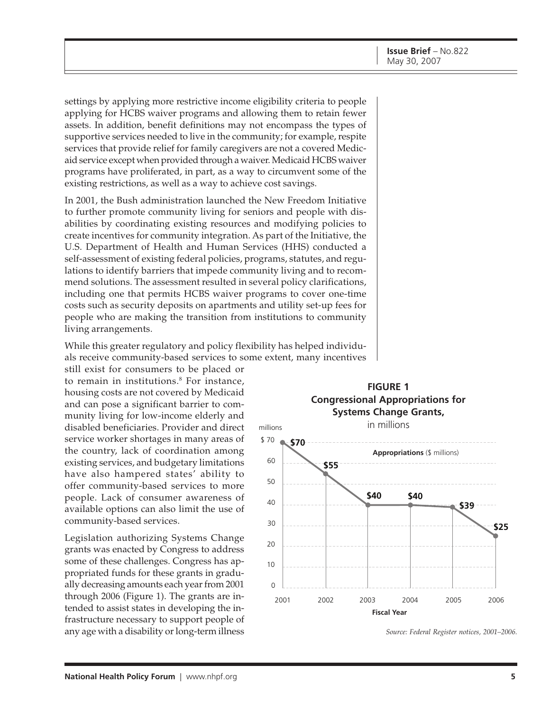settings by applying more restrictive income eligibility criteria to people applying for HCBS waiver programs and allowing them to retain fewer assets. In addition, benefit definitions may not encompass the types of supportive services needed to live in the community; for example, respite services that provide relief for family caregivers are not a covered Medicaid service except when provided through a waiver. Medicaid HCBS waiver programs have proliferated, in part, as a way to circumvent some of the existing restrictions, as well as a way to achieve cost savings.

In 2001, the Bush administration launched the New Freedom Initiative to further promote community living for seniors and people with disabilities by coordinating existing resources and modifying policies to create incentives for community integration. As part of the Initiative, the U.S. Department of Health and Human Services (HHS) conducted a self-assessment of existing federal policies, programs, statutes, and regulations to identify barriers that impede community living and to recommend solutions. The assessment resulted in several policy clarifications, including one that permits HCBS waiver programs to cover one-time costs such as security deposits on apartments and utility set-up fees for people who are making the transition from institutions to community living arrangements.

While this greater regulatory and policy flexibility has helped individuals receive community-based services to some extent, many incentives

still exist for consumers to be placed or to remain in institutions.8 For instance, housing costs are not covered by Medicaid and can pose a significant barrier to community living for low-income elderly and disabled beneficiaries. Provider and direct service worker shortages in many areas of the country, lack of coordination among existing services, and budgetary limitations have also hampered states' ability to offer community-based services to more people. Lack of consumer awareness of available options can also limit the use of community-based services.

Legislation authorizing Systems Change grants was enacted by Congress to address some of these challenges. Congress has appropriated funds for these grants in gradually decreasing amounts each year from 2001 through 2006 (Figure 1). The grants are intended to assist states in developing the infrastructure necessary to support people of any age with a disability or long-term illness *Source: Federal Register notices, 2001–2006.*

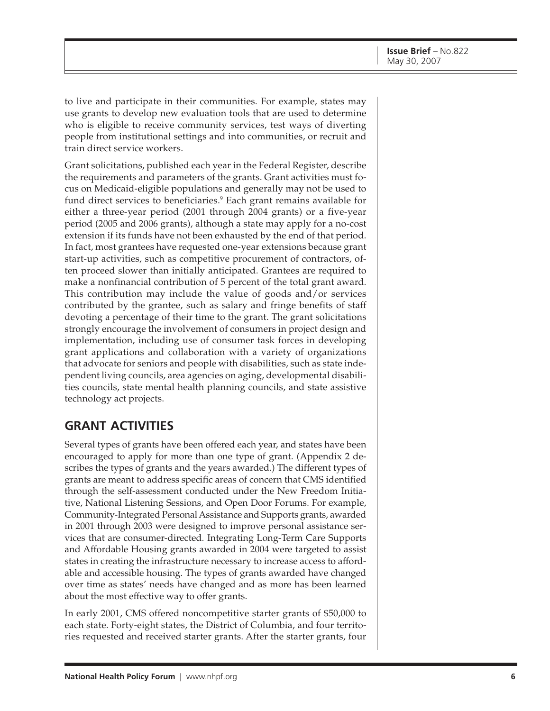to live and participate in their communities. For example, states may use grants to develop new evaluation tools that are used to determine who is eligible to receive community services, test ways of diverting people from institutional settings and into communities, or recruit and train direct service workers.

Grant solicitations, published each year in the Federal Register, describe the requirements and parameters of the grants. Grant activities must focus on Medicaid-eligible populations and generally may not be used to fund direct services to beneficiaries.9 Each grant remains available for either a three-year period (2001 through 2004 grants) or a five-year period (2005 and 2006 grants), although a state may apply for a no-cost extension if its funds have not been exhausted by the end of that period. In fact, most grantees have requested one-year extensions because grant start-up activities, such as competitive procurement of contractors, often proceed slower than initially anticipated. Grantees are required to make a nonfinancial contribution of 5 percent of the total grant award. This contribution may include the value of goods and/or services contributed by the grantee, such as salary and fringe benefits of staff devoting a percentage of their time to the grant. The grant solicitations strongly encourage the involvement of consumers in project design and implementation, including use of consumer task forces in developing grant applications and collaboration with a variety of organizations that advocate for seniors and people with disabilities, such as state independent living councils, area agencies on aging, developmental disabilities councils, state mental health planning councils, and state assistive technology act projects.

## **GRANT ACTIVITIES**

Several types of grants have been offered each year, and states have been encouraged to apply for more than one type of grant. (Appendix 2 describes the types of grants and the years awarded.) The different types of grants are meant to address specific areas of concern that CMS identified through the self-assessment conducted under the New Freedom Initiative, National Listening Sessions, and Open Door Forums. For example, Community-Integrated Personal Assistance and Supports grants, awarded in 2001 through 2003 were designed to improve personal assistance services that are consumer-directed. Integrating Long-Term Care Supports and Affordable Housing grants awarded in 2004 were targeted to assist states in creating the infrastructure necessary to increase access to affordable and accessible housing. The types of grants awarded have changed over time as states' needs have changed and as more has been learned about the most effective way to offer grants.

In early 2001, CMS offered noncompetitive starter grants of \$50,000 to each state. Forty-eight states, the District of Columbia, and four territories requested and received starter grants. After the starter grants, four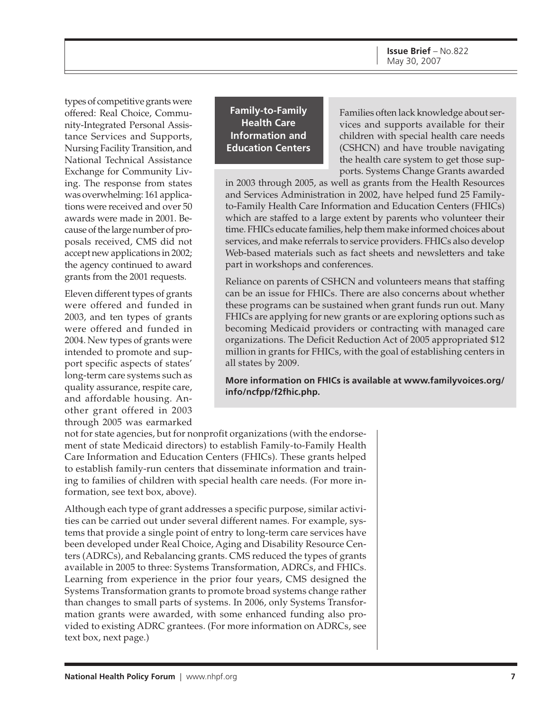**Issue Brief** – No.822 May 30, 2007

types of competitive grants were offered: Real Choice, Community-Integrated Personal Assistance Services and Supports, Nursing Facility Transition, and National Technical Assistance Exchange for Community Living. The response from states was overwhelming: 161 applications were received and over 50 awards were made in 2001. Because of the large number of proposals received, CMS did not accept new applications in 2002; the agency continued to award grants from the 2001 requests.

Eleven different types of grants were offered and funded in 2003, and ten types of grants were offered and funded in 2004. New types of grants were intended to promote and support specific aspects of states' long-term care systems such as quality assurance, respite care, and affordable housing. Another grant offered in 2003 through 2005 was earmarked

**Family-to-Family Health Care Information and Education Centers**

Families often lack knowledge about services and supports available for their children with special health care needs (CSHCN) and have trouble navigating the health care system to get those supports. Systems Change Grants awarded

in 2003 through 2005, as well as grants from the Health Resources and Services Administration in 2002, have helped fund 25 Familyto-Family Health Care Information and Education Centers (FHICs) which are staffed to a large extent by parents who volunteer their time. FHICs educate families, help them make informed choices about services, and make referrals to service providers. FHICs also develop Web-based materials such as fact sheets and newsletters and take part in workshops and conferences.

Reliance on parents of CSHCN and volunteers means that staffing can be an issue for FHICs. There are also concerns about whether these programs can be sustained when grant funds run out. Many FHICs are applying for new grants or are exploring options such as becoming Medicaid providers or contracting with managed care organizations. The Deficit Reduction Act of 2005 appropriated \$12 million in grants for FHICs, with the goal of establishing centers in all states by 2009.

**[More information on FHICs is available at www.familyvoices.org/](http://www.familyvoices.org/info/ncfpp/f2fhic.php) info/ncfpp/f2fhic.php.**

not for state agencies, but for nonprofit organizations (with the endorsement of state Medicaid directors) to establish Family-to-Family Health Care Information and Education Centers (FHICs). These grants helped to establish family-run centers that disseminate information and training to families of children with special health care needs. (For more information, see text box, above).

Although each type of grant addresses a specific purpose, similar activities can be carried out under several different names. For example, systems that provide a single point of entry to long-term care services have been developed under Real Choice, Aging and Disability Resource Centers (ADRCs), and Rebalancing grants. CMS reduced the types of grants available in 2005 to three: Systems Transformation, ADRCs, and FHICs. Learning from experience in the prior four years, CMS designed the Systems Transformation grants to promote broad systems change rather than changes to small parts of systems. In 2006, only Systems Transformation grants were awarded, with some enhanced funding also provided to existing ADRC grantees. (For more information on ADRCs, see text box, next page.)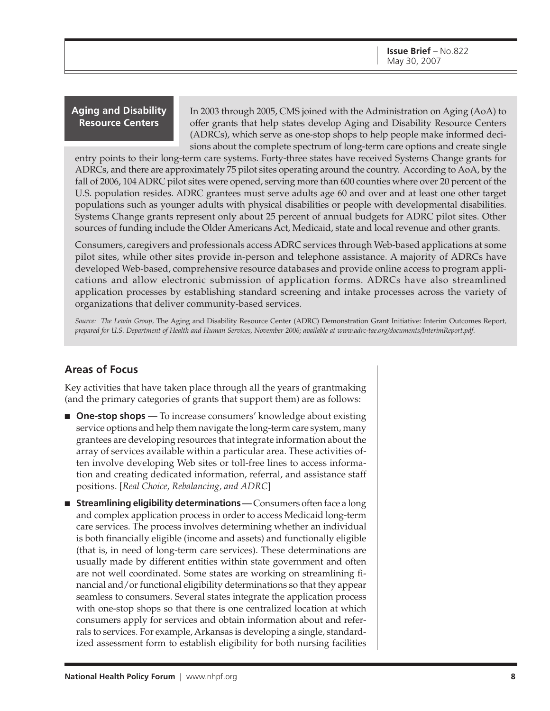#### **Aging and Disability Resource Centers**

In 2003 through 2005, CMS joined with the Administration on Aging (AoA) to offer grants that help states develop Aging and Disability Resource Centers (ADRCs), which serve as one-stop shops to help people make informed decisions about the complete spectrum of long-term care options and create single

entry points to their long-term care systems. Forty-three states have received Systems Change grants for ADRCs, and there are approximately 75 pilot sites operating around the country. According to AoA, by the fall of 2006, 104 ADRC pilot sites were opened, serving more than 600 counties where over 20 percent of the U.S. population resides. ADRC grantees must serve adults age 60 and over and at least one other target populations such as younger adults with physical disabilities or people with developmental disabilities. Systems Change grants represent only about 25 percent of annual budgets for ADRC pilot sites. Other sources of funding include the Older Americans Act, Medicaid, state and local revenue and other grants.

Consumers, caregivers and professionals access ADRC services through Web-based applications at some pilot sites, while other sites provide in-person and telephone assistance. A majority of ADRCs have developed Web-based, comprehensive resource databases and provide online access to program applications and allow electronic submission of application forms. ADRCs have also streamlined application processes by establishing standard screening and intake processes across the variety of organizations that deliver community-based services.

*Source: The Lewin Group,* The Aging and Disability Resource Center (ADRC) Demonstration Grant Initiative: Interim Outcomes Report*, prepared for U.S. Department of Health and Human Services, November 2006; available at [www.adrc-tae.org/documents/InterimReport.pdf.](http://www.adrc-tae.org/documents/InterimReport.pdf)*

#### **Areas of Focus**

Key activities that have taken place through all the years of grantmaking (and the primary categories of grants that support them) are as follows:

- **One-stop shops** To increase consumers' knowledge about existing service options and help them navigate the long-term care system, many grantees are developing resources that integrate information about the array of services available within a particular area. These activities often involve developing Web sites or toll-free lines to access information and creating dedicated information, referral, and assistance staff positions. [*Real Choice, Rebalancing, and ADRC*]
- **Streamlining eligibility determinations** Consumers often face a long and complex application process in order to access Medicaid long-term care services. The process involves determining whether an individual is both financially eligible (income and assets) and functionally eligible (that is, in need of long-term care services). These determinations are usually made by different entities within state government and often are not well coordinated. Some states are working on streamlining financial and/or functional eligibility determinations so that they appear seamless to consumers. Several states integrate the application process with one-stop shops so that there is one centralized location at which consumers apply for services and obtain information about and referrals to services. For example, Arkansas is developing a single, standardized assessment form to establish eligibility for both nursing facilities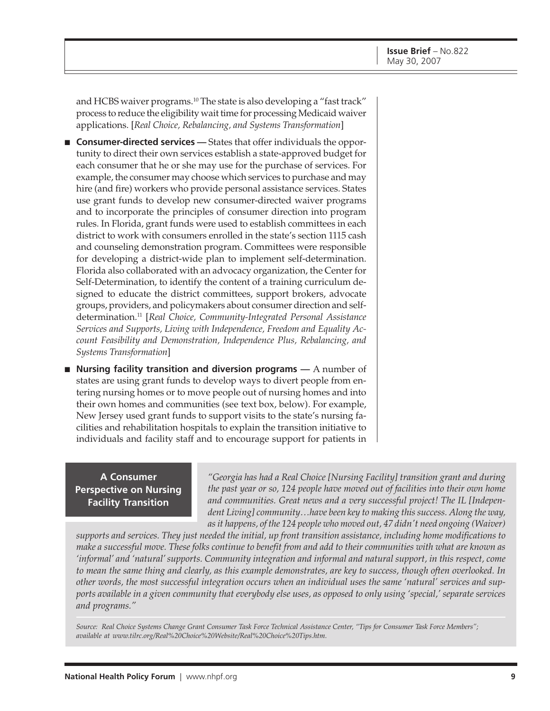and HCBS waiver programs.<sup>10</sup> The state is also developing a "fast track" process to reduce the eligibility wait time for processing Medicaid waiver applications. [*Real Choice, Rebalancing, and Systems Transformation*]

- **Consumer-directed services** States that offer individuals the opportunity to direct their own services establish a state-approved budget for each consumer that he or she may use for the purchase of services. For example, the consumer may choose which services to purchase and may hire (and fire) workers who provide personal assistance services. States use grant funds to develop new consumer-directed waiver programs and to incorporate the principles of consumer direction into program rules. In Florida, grant funds were used to establish committees in each district to work with consumers enrolled in the state's section 1115 cash and counseling demonstration program. Committees were responsible for developing a district-wide plan to implement self-determination. Florida also collaborated with an advocacy organization, the Center for Self-Determination, to identify the content of a training curriculum designed to educate the district committees, support brokers, advocate groups, providers, and policymakers about consumer direction and selfdetermination.11 [*Real Choice, Community-Integrated Personal Assistance Services and Supports, Living with Independence, Freedom and Equality Account Feasibility and Demonstration, Independence Plus, Rebalancing, and Systems Transformation*]
- **Nursing facility transition and diversion programs** A number of states are using grant funds to develop ways to divert people from entering nursing homes or to move people out of nursing homes and into their own homes and communities (see text box, below). For example, New Jersey used grant funds to support visits to the state's nursing facilities and rehabilitation hospitals to explain the transition initiative to individuals and facility staff and to encourage support for patients in

**A Consumer Perspective on Nursing Facility Transition**

*"Georgia has had a Real Choice [Nursing Facility] transition grant and during the past year or so, 124 people have moved out of facilities into their own home and communities. Great news and a very successful project! The IL [Independent Living] community…have been key to making this success. Along the way, as it happens, of the 124 people who moved out, 47 didn't need ongoing (Waiver)*

*supports and services. They just needed the initial, up front transition assistance, including home modifications to make a successful move. These folks continue to benefit from and add to their communities with what are known as 'informal' and 'natural' supports. Community integration and informal and natural support, in this respect, come to mean the same thing and clearly, as this example demonstrates, are key to success, though often overlooked. In other words, the most successful integration occurs when an individual uses the same 'natural' services and supports available in a given community that everybody else uses, as opposed to only using 'special,' separate services and programs."*

*Source: Real Choice Systems Change Grant Consumer Task Force Technical Assistance Center, "Tips for Consumer Task Force Members"; available at [www.tilrc.org/Real%20Choice%20Website/Real%20Choice%20Tips.htm.](http://www.tilrc.org/Real%20Choice%20Website/Real%20Choice%20Tips.htm)*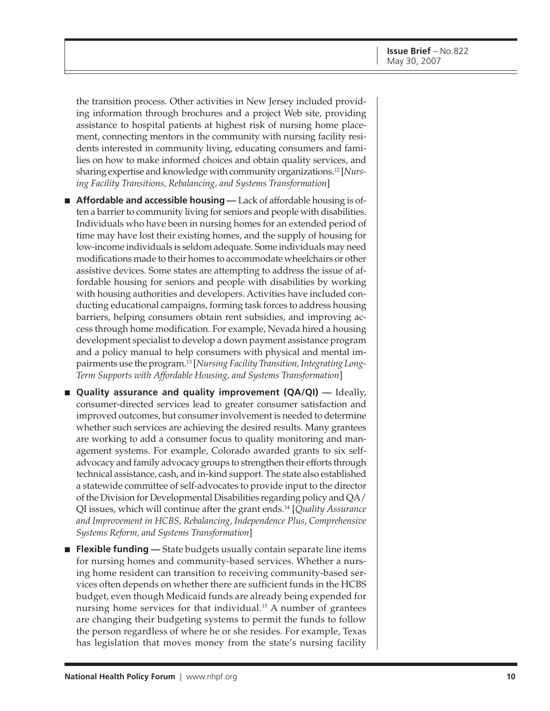the transition process. Other activities in New Jersey included providing information through brochures and a project Web site, providing assistance to hospital patients at highest risk of nursing home placement, connecting mentors in the community with nursing facility residents interested in community living, educating consumers and families on how to make informed choices and obtain quality services, and sharing expertise and knowledge with community organizations.12 [*Nursing Facility Transitions, Rebalancing, and Systems Transformation*]

- **Affordable and accessible housing** Lack of affordable housing is often a barrier to community living for seniors and people with disabilities. Individuals who have been in nursing homes for an extended period of time may have lost their existing homes, and the supply of housing for low-income individuals is seldom adequate. Some individuals may need modifications made to their homes to accommodate wheelchairs or other assistive devices. Some states are attempting to address the issue of affordable housing for seniors and people with disabilities by working with housing authorities and developers. Activities have included conducting educational campaigns, forming task forces to address housing barriers, helping consumers obtain rent subsidies, and improving access through home modification. For example, Nevada hired a housing development specialist to develop a down payment assistance program and a policy manual to help consumers with physical and mental impairments use the program.13 [*Nursing Facility Transition, Integrating Long-Term Supports with Affordable Housing, and Systems Transformation*]
- **Quality assurance and quality improvement (QA/QI)** Ideally, consumer-directed services lead to greater consumer satisfaction and improved outcomes, but consumer involvement is needed to determine whether such services are achieving the desired results. Many grantees are working to add a consumer focus to quality monitoring and management systems. For example, Colorado awarded grants to six selfadvocacy and family advocacy groups to strengthen their efforts through technical assistance, cash, and in-kind support. The state also established a statewide committee of self-advocates to provide input to the director of the Division for Developmental Disabilities regarding policy and QA/ QI issues, which will continue after the grant ends.14 [*Quality Assurance and Improvement in HCBS, Rebalancing, Independence Plus, Comprehensive Systems Reform, and Systems Transformation*]
- **Flexible funding** State budgets usually contain separate line items for nursing homes and community-based services. Whether a nursing home resident can transition to receiving community-based services often depends on whether there are sufficient funds in the HCBS budget, even though Medicaid funds are already being expended for nursing home services for that individual.<sup>15</sup> A number of grantees are changing their budgeting systems to permit the funds to follow the person regardless of where he or she resides. For example, Texas has legislation that moves money from the state's nursing facility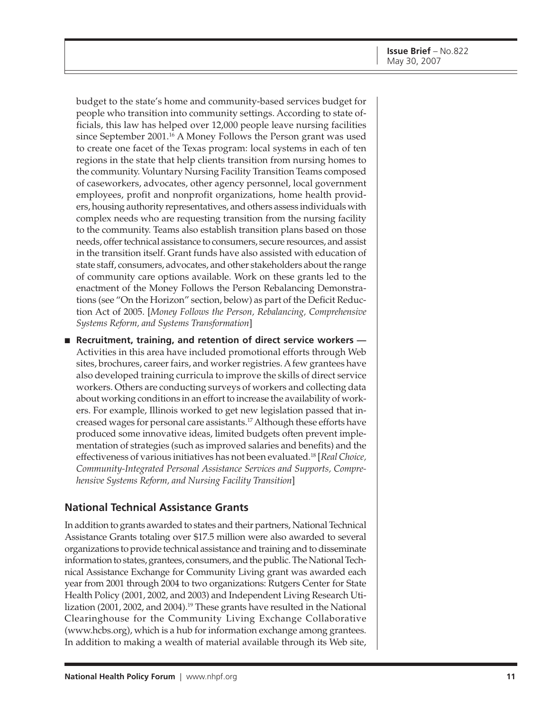budget to the state's home and community-based services budget for people who transition into community settings. According to state officials, this law has helped over 12,000 people leave nursing facilities since September 2001.<sup>16</sup> A Money Follows the Person grant was used to create one facet of the Texas program: local systems in each of ten regions in the state that help clients transition from nursing homes to the community. Voluntary Nursing Facility Transition Teams composed of caseworkers, advocates, other agency personnel, local government employees, profit and nonprofit organizations, home health providers, housing authority representatives, and others assess individuals with complex needs who are requesting transition from the nursing facility to the community. Teams also establish transition plans based on those needs, offer technical assistance to consumers, secure resources, and assist in the transition itself. Grant funds have also assisted with education of state staff, consumers, advocates, and other stakeholders about the range of community care options available. Work on these grants led to the enactment of the Money Follows the Person Rebalancing Demonstrations (see "On the Horizon" section, below) as part of the Deficit Reduction Act of 2005. [*Money Follows the Person, Rebalancing, Comprehensive Systems Reform, and Systems Transformation*]

■ **Recruitment, training, and retention of direct service workers** Activities in this area have included promotional efforts through Web sites, brochures, career fairs, and worker registries. A few grantees have also developed training curricula to improve the skills of direct service workers. Others are conducting surveys of workers and collecting data about working conditions in an effort to increase the availability of workers. For example, Illinois worked to get new legislation passed that increased wages for personal care assistants.17 Although these efforts have produced some innovative ideas, limited budgets often prevent implementation of strategies (such as improved salaries and benefits) and the effectiveness of various initiatives has not been evaluated.18 [*Real Choice, Community-Integrated Personal Assistance Services and Supports, Comprehensive Systems Reform, and Nursing Facility Transition*]

#### **National Technical Assistance Grants**

In addition to grants awarded to states and their partners, National Technical Assistance Grants totaling over \$17.5 million were also awarded to several organizations to provide technical assistance and training and to disseminate information to states, grantees, consumers, and the public. The National Technical Assistance Exchange for Community Living grant was awarded each year from 2001 through 2004 to two organizations: Rutgers Center for State Health Policy (2001, 2002, and 2003) and Independent Living Research Utilization (2001, 2002, and 2004).<sup>19</sup> These grants have resulted in the National Clearinghouse for the Community Living Exchange Collaborative [\(www.hcbs.org\)](http://www.hcbs.org), which is a hub for information exchange among grantees. In addition to making a wealth of material available through its Web site,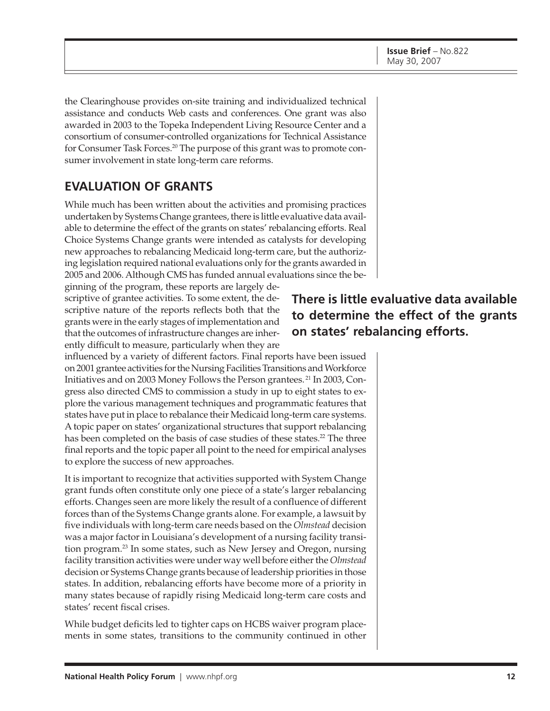the Clearinghouse provides on-site training and individualized technical assistance and conducts Web casts and conferences. One grant was also awarded in 2003 to the Topeka Independent Living Resource Center and a consortium of consumer-controlled organizations for Technical Assistance for Consumer Task Forces.<sup>20</sup> The purpose of this grant was to promote consumer involvement in state long-term care reforms.

## **EVALUATION OF GRANTS**

While much has been written about the activities and promising practices undertaken by Systems Change grantees, there is little evaluative data available to determine the effect of the grants on states' rebalancing efforts. Real Choice Systems Change grants were intended as catalysts for developing new approaches to rebalancing Medicaid long-term care, but the authorizing legislation required national evaluations only for the grants awarded in 2005 and 2006. Although CMS has funded annual evaluations since the be-

ginning of the program, these reports are largely descriptive of grantee activities. To some extent, the descriptive nature of the reports reflects both that the grants were in the early stages of implementation and that the outcomes of infrastructure changes are inherently difficult to measure, particularly when they are

influenced by a variety of different factors. Final reports have been issued on 2001 grantee activities for the Nursing Facilities Transitions and Workforce Initiatives and on 2003 Money Follows the Person grantees. 21 In 2003, Congress also directed CMS to commission a study in up to eight states to explore the various management techniques and programmatic features that states have put in place to rebalance their Medicaid long-term care systems. A topic paper on states' organizational structures that support rebalancing has been completed on the basis of case studies of these states.<sup>22</sup> The three final reports and the topic paper all point to the need for empirical analyses to explore the success of new approaches.

It is important to recognize that activities supported with System Change grant funds often constitute only one piece of a state's larger rebalancing efforts. Changes seen are more likely the result of a confluence of different forces than of the Systems Change grants alone. For example, a lawsuit by five individuals with long-term care needs based on the *Olmstead* decision was a major factor in Louisiana's development of a nursing facility transition program.23 In some states, such as New Jersey and Oregon, nursing facility transition activities were under way well before either the *Olmstead* decision or Systems Change grants because of leadership priorities in those states. In addition, rebalancing efforts have become more of a priority in many states because of rapidly rising Medicaid long-term care costs and states' recent fiscal crises.

While budget deficits led to tighter caps on HCBS waiver program placements in some states, transitions to the community continued in other

## **There is little evaluative data available to determine the effect of the grants on states' rebalancing efforts.**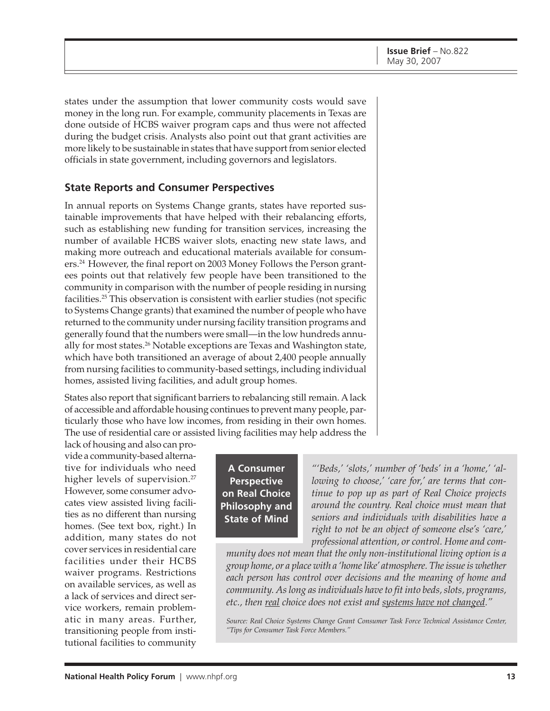states under the assumption that lower community costs would save money in the long run. For example, community placements in Texas are done outside of HCBS waiver program caps and thus were not affected during the budget crisis. Analysts also point out that grant activities are more likely to be sustainable in states that have support from senior elected officials in state government, including governors and legislators.

#### **State Reports and Consumer Perspectives**

In annual reports on Systems Change grants, states have reported sustainable improvements that have helped with their rebalancing efforts, such as establishing new funding for transition services, increasing the number of available HCBS waiver slots, enacting new state laws, and making more outreach and educational materials available for consumers.24 However, the final report on 2003 Money Follows the Person grantees points out that relatively few people have been transitioned to the community in comparison with the number of people residing in nursing facilities.25 This observation is consistent with earlier studies (not specific to Systems Change grants) that examined the number of people who have returned to the community under nursing facility transition programs and generally found that the numbers were small—in the low hundreds annually for most states.<sup>26</sup> Notable exceptions are Texas and Washington state, which have both transitioned an average of about 2,400 people annually from nursing facilities to community-based settings, including individual homes, assisted living facilities, and adult group homes.

States also report that significant barriers to rebalancing still remain. A lack of accessible and affordable housing continues to prevent many people, particularly those who have low incomes, from residing in their own homes. The use of residential care or assisted living facilities may help address the

lack of housing and also can provide a community-based alternative for individuals who need higher levels of supervision.<sup>27</sup> However, some consumer advocates view assisted living facilities as no different than nursing homes. (See text box, right.) In addition, many states do not cover services in residential care facilities under their HCBS waiver programs. Restrictions on available services, as well as a lack of services and direct service workers, remain problematic in many areas. Further, transitioning people from institutional facilities to community

**A Consumer Perspective on Real Choice Philosophy and State of Mind**

*"'Beds,' 'slots,' number of 'beds' in a 'home,' 'allowing to choose,' 'care for,' are terms that continue to pop up as part of Real Choice projects around the country. Real choice must mean that seniors and individuals with disabilities have a right to not be an object of someone else's 'care,' professional attention, or control. Home and com-*

*munity does not mean that the only non-institutional living option is a group home, or a place with a 'home like' atmosphere. The issue is whether each person has control over decisions and the meaning of home and community. As long as individuals have to fit into beds, slots, programs, etc., then real choice does not exist and systems have not changed."*

*Source: Real Choice Systems Change Grant Consumer Task Force Technical Assistance Center, "Tips for Consumer Task Force Members."*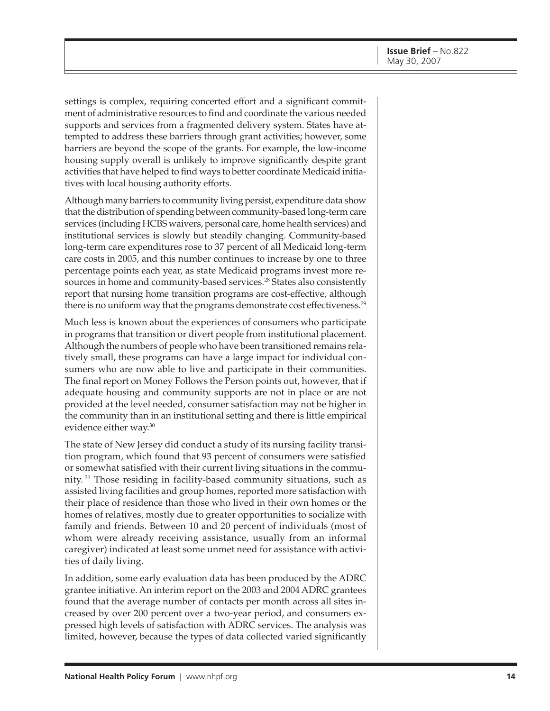settings is complex, requiring concerted effort and a significant commitment of administrative resources to find and coordinate the various needed supports and services from a fragmented delivery system. States have attempted to address these barriers through grant activities; however, some barriers are beyond the scope of the grants. For example, the low-income housing supply overall is unlikely to improve significantly despite grant activities that have helped to find ways to better coordinate Medicaid initiatives with local housing authority efforts.

Although many barriers to community living persist, expenditure data show that the distribution of spending between community-based long-term care services (including HCBS waivers, personal care, home health services) and institutional services is slowly but steadily changing. Community-based long-term care expenditures rose to 37 percent of all Medicaid long-term care costs in 2005, and this number continues to increase by one to three percentage points each year, as state Medicaid programs invest more resources in home and community-based services.<sup>28</sup> States also consistently report that nursing home transition programs are cost-effective, although there is no uniform way that the programs demonstrate cost effectiveness.<sup>29</sup>

Much less is known about the experiences of consumers who participate in programs that transition or divert people from institutional placement. Although the numbers of people who have been transitioned remains relatively small, these programs can have a large impact for individual consumers who are now able to live and participate in their communities. The final report on Money Follows the Person points out, however, that if adequate housing and community supports are not in place or are not provided at the level needed, consumer satisfaction may not be higher in the community than in an institutional setting and there is little empirical evidence either way.30

The state of New Jersey did conduct a study of its nursing facility transition program, which found that 93 percent of consumers were satisfied or somewhat satisfied with their current living situations in the community. 31 Those residing in facility-based community situations, such as assisted living facilities and group homes, reported more satisfaction with their place of residence than those who lived in their own homes or the homes of relatives, mostly due to greater opportunities to socialize with family and friends. Between 10 and 20 percent of individuals (most of whom were already receiving assistance, usually from an informal caregiver) indicated at least some unmet need for assistance with activities of daily living.

In addition, some early evaluation data has been produced by the ADRC grantee initiative. An interim report on the 2003 and 2004 ADRC grantees found that the average number of contacts per month across all sites increased by over 200 percent over a two-year period, and consumers expressed high levels of satisfaction with ADRC services. The analysis was limited, however, because the types of data collected varied significantly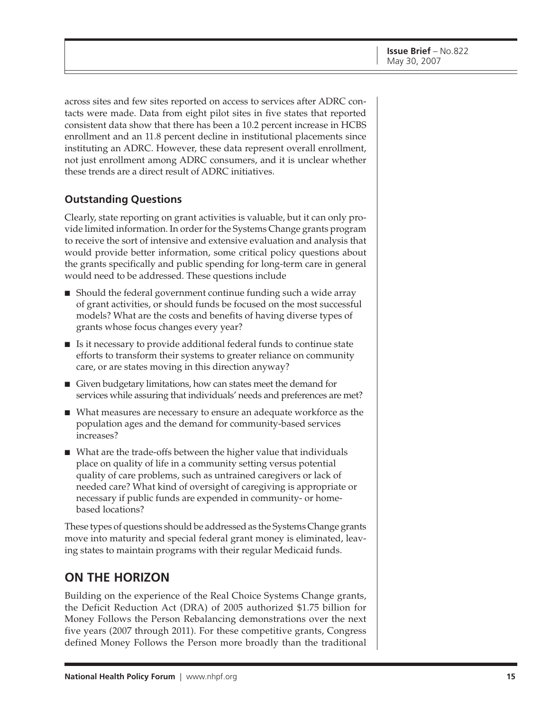across sites and few sites reported on access to services after ADRC contacts were made. Data from eight pilot sites in five states that reported consistent data show that there has been a 10.2 percent increase in HCBS enrollment and an 11.8 percent decline in institutional placements since instituting an ADRC. However, these data represent overall enrollment, not just enrollment among ADRC consumers, and it is unclear whether these trends are a direct result of ADRC initiatives.

#### **Outstanding Questions**

Clearly, state reporting on grant activities is valuable, but it can only provide limited information. In order for the Systems Change grants program to receive the sort of intensive and extensive evaluation and analysis that would provide better information, some critical policy questions about the grants specifically and public spending for long-term care in general would need to be addressed. These questions include

- Should the federal government continue funding such a wide array of grant activities, or should funds be focused on the most successful models? What are the costs and benefits of having diverse types of grants whose focus changes every year?
- Is it necessary to provide additional federal funds to continue state efforts to transform their systems to greater reliance on community care, or are states moving in this direction anyway?
- Given budgetary limitations, how can states meet the demand for services while assuring that individuals' needs and preferences are met?
- What measures are necessary to ensure an adequate workforce as the population ages and the demand for community-based services increases?
- What are the trade-offs between the higher value that individuals place on quality of life in a community setting versus potential quality of care problems, such as untrained caregivers or lack of needed care? What kind of oversight of caregiving is appropriate or necessary if public funds are expended in community- or homebased locations?

These types of questions should be addressed as the Systems Change grants move into maturity and special federal grant money is eliminated, leaving states to maintain programs with their regular Medicaid funds.

### **ON THE HORIZON**

Building on the experience of the Real Choice Systems Change grants, the Deficit Reduction Act (DRA) of 2005 authorized \$1.75 billion for Money Follows the Person Rebalancing demonstrations over the next five years (2007 through 2011). For these competitive grants, Congress defined Money Follows the Person more broadly than the traditional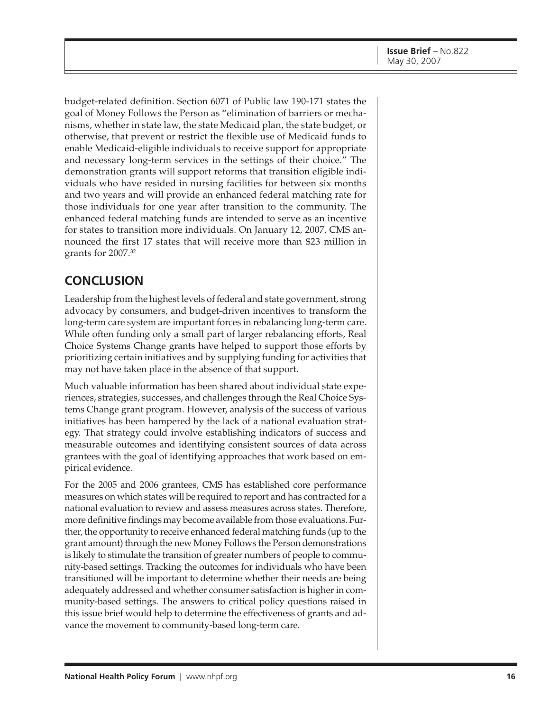budget-related definition. Section 6071 of Public law 190-171 states the goal of Money Follows the Person as "elimination of barriers or mechanisms, whether in state law, the state Medicaid plan, the state budget, or otherwise, that prevent or restrict the flexible use of Medicaid funds to enable Medicaid-eligible individuals to receive support for appropriate and necessary long-term services in the settings of their choice." The demonstration grants will support reforms that transition eligible individuals who have resided in nursing facilities for between six months and two years and will provide an enhanced federal matching rate for those individuals for one year after transition to the community. The enhanced federal matching funds are intended to serve as an incentive for states to transition more individuals. On January 12, 2007, CMS announced the first 17 states that will receive more than \$23 million in grants for 2007.32

## **CONCLUSION**

Leadership from the highest levels of federal and state government, strong advocacy by consumers, and budget-driven incentives to transform the long-term care system are important forces in rebalancing long-term care. While often funding only a small part of larger rebalancing efforts, Real Choice Systems Change grants have helped to support those efforts by prioritizing certain initiatives and by supplying funding for activities that may not have taken place in the absence of that support.

Much valuable information has been shared about individual state experiences, strategies, successes, and challenges through the Real Choice Systems Change grant program. However, analysis of the success of various initiatives has been hampered by the lack of a national evaluation strategy. That strategy could involve establishing indicators of success and measurable outcomes and identifying consistent sources of data across grantees with the goal of identifying approaches that work based on empirical evidence.

For the 2005 and 2006 grantees, CMS has established core performance measures on which states will be required to report and has contracted for a national evaluation to review and assess measures across states. Therefore, more definitive findings may become available from those evaluations. Further, the opportunity to receive enhanced federal matching funds (up to the grant amount) through the new Money Follows the Person demonstrations is likely to stimulate the transition of greater numbers of people to community-based settings. Tracking the outcomes for individuals who have been transitioned will be important to determine whether their needs are being adequately addressed and whether consumer satisfaction is higher in community-based settings. The answers to critical policy questions raised in this issue brief would help to determine the effectiveness of grants and advance the movement to community-based long-term care.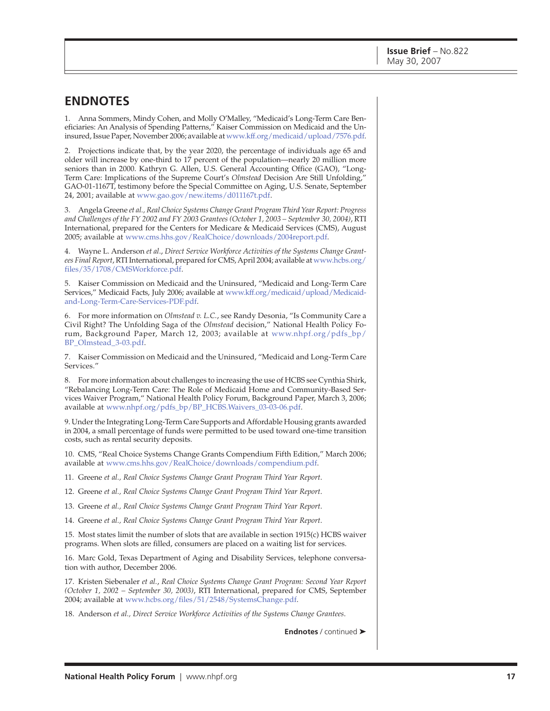### **ENDNOTES**

1. Anna Sommers, Mindy Cohen, and Molly O'Malley, "Medicaid's Long-Term Care Beneficiaries: An Analysis of Spending Patterns," Kaiser Commission on Medicaid and the Uninsured, Issue Paper, November 2006; available at [www.kff.org/medicaid/upload/7576.pdf.](http://www.kff.org/medicaid/upload/7576.pdf)

2. Projections indicate that, by the year 2020, the percentage of individuals age 65 and older will increase by one-third to 17 percent of the population—nearly 20 million more seniors than in 2000. Kathryn G. Allen, U.S. General Accounting Office (GAO), "Long-Term Care: Implications of the Supreme Court's *Olmstead* Decision Are Still Unfolding," GAO-01-1167T, testimony before the Special Committee on Aging, U.S. Senate, September 24, 2001; available at [www.gao.gov/new.items/d011167t.pdf.](http://www.gao.gov/new.items/d011167t.pdf)

3. Angela Greene *et al., Real Choice Systems Change Grant Program Third Year Report: Progress and Challenges of the FY 2002 and FY 2003 Grantees (October 1, 2003 – September 30, 2004)*, RTI International, prepared for the Centers for Medicare & Medicaid Services (CMS), August 2005; available at [www.cms.hhs.gov/RealChoice/downloads/2004report.pdf.](http://www.cms.hhs.gov/RealChoice/downloads/2004report.pdf)

4. Wayne L. Anderson *et al*., *Direct Service Workforce Activities of the Systems Change Grantees Final Report*[, RTI International, prepared for CMS, April 2004; available at www.hcbs.org/](http://www.hcbs.org/files/35/1708/CMSWorkforce.pdf) files/35/1708/CMSWorkforce.pdf.

5. Kaiser Commission on Medicaid and the Uninsured, "Medicaid and Long-Term Care [Services," Medicaid Facts, July 2006; available at www.kff.org/medicaid/upload/Medicaid](http://www.kff.org/medicaid/upload/Medicaid-and-Long-Term-Care-Services-PDF.pdf)and-Long-Term-Care-Services-PDF.pdf.

6. For more information on *Olmstead v. L.C.*, see Randy Desonia, "Is Community Care a Civil Right? The Unfolding Saga of the *Olmstead* decision," National Health Policy Fo[rum, Background Paper, March 12, 2003; available at www.nhpf.org/pdfs\\_bp/](http://www.nhpf.org/pdfs_bp/BP_Olmstead_3-03.pdf) BP\_Olmstead\_3-03.pdf.

7. Kaiser Commission on Medicaid and the Uninsured, "Medicaid and Long-Term Care Services."

8. For more information about challenges to increasing the use of HCBS see Cynthia Shirk, "Rebalancing Long-Term Care: The Role of Medicaid Home and Community-Based Services Waiver Program," National Health Policy Forum, Background Paper, March 3, 2006; available at [www.nhpf.org/pdfs\\_bp/BP\\_HCBS.Waivers\\_03-03-06.pdf.](http://www.nhpf.org/pdfs_bp/BP_HCBS.Waivers_03-03-06.pdf)

9. Under the Integrating Long-Term Care Supports and Affordable Housing grants awarded in 2004, a small percentage of funds were permitted to be used toward one-time transition costs, such as rental security deposits.

10. CMS, "Real Choice Systems Change Grants Compendium Fifth Edition," March 2006; available at [www.cms.hhs.gov/RealChoice/downloads/compendium.pdf.](http://www.cms.hhs.gov/RealChoice/downloads/compendium.pdf)

11. Greene *et al., Real Choice Systems Change Grant Program Third Year Report*.

12. Greene *et al., Real Choice Systems Change Grant Program Third Year Report*.

13. Greene *et al., Real Choice Systems Change Grant Program Third Year Report*.

14. Greene *et al., Real Choice Systems Change Grant Program Third Year Report*.

15. Most states limit the number of slots that are available in section 1915(c) HCBS waiver programs. When slots are filled, consumers are placed on a waiting list for services.

16. Marc Gold, Texas Department of Aging and Disability Services, telephone conversation with author, December 2006.

17. Kristen Siebenaler *et al.*, *Real Choice Systems Change Grant Program: Second Year Report (October 1, 2002 – September 30, 2003)*, RTI International, prepared for CMS, September 2004; available at [www.hcbs.org/files/51/2548/SystemsChange.pdf.](http://www.hcbs.org/files/51/2548/SystemsChange.pdf)

18. Anderson *et al., Direct Service Workforce Activities of the Systems Change Grantees*.

**Endnotes** / continued ➤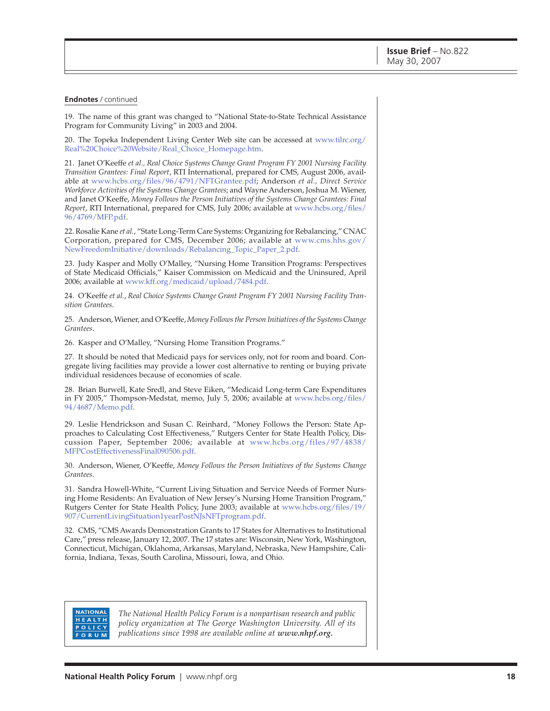#### **Endnotes** / continued

19. The name of this grant was changed to "National State-to-State Technical Assistance Program for Community Living" in 2003 and 2004.

[20. The Topeka Independent Living Center Web site can be accessed at www.tilrc.org/](http://www.tilrc.org/Real%20Choice%20Website/Real_Choice_Homepage.htm) Real%20Choice%20Website/Real\_Choice\_Homepage.htm.

21. Janet O'Keeffe *et al., Real Choice Systems Change Grant Program FY 2001 Nursing Facility Transition Grantees: Final Report*, RTI International, prepared for CMS, August 2006, available at [www.hcbs.org/files/96/4791/NFTGrantee.pdf;](http://www.hcbs.org/files/96/4791/NFTGrantee.pdf) Anderson *et al., Direct Service Workforce Activities of the Systems Change Grantees*; and Wayne Anderson, Joshua M. Wiener, and Janet O'Keeffe, *Money Follows the Person Initiatives of the Systems Change Grantees: Final Report*[, RTI International, prepared for CMS, July 2006; available at www.hcbs.org/files/](http://www.hcbs.org/files/96/4769/MFP.pdf) 96/4769/MFP.pdf.

22. Rosalie Kane *et al.*, "State Long-Term Care Systems: Organizing for Rebalancing," CNAC [Corporation, prepared for CMS, December 2006; available at www.cms.hhs.gov/](http://www.cms.hhs.gov/NewFreedomInitiative/downloads/Rebalancing_Topic_Paper_2.pdf) NewFreedomInitiative/downloads/Rebalancing\_Topic\_Paper\_2.pdf.

23. Judy Kasper and Molly O'Malley, "Nursing Home Transition Programs: Perspectives of State Medicaid Officials," Kaiser Commission on Medicaid and the Uninsured, April 2006; available at [www.kff.org/medicaid/upload/7484.pdf.](http://www.kff.org/medicaid/upload/7484.pdf)

24. O'Keeffe *et al.*, *Real Choice Systems Change Grant Program FY 2001 Nursing Facility Transition Grantees*.

25. Anderson, Wiener, and O'Keeffe, *Money Follows the Person Initiatives of the Systems Change Grantees*.

26. Kasper and O'Malley, "Nursing Home Transition Programs."

27. It should be noted that Medicaid pays for services only, not for room and board. Congregate living facilities may provide a lower cost alternative to renting or buying private individual residences because of economies of scale.

28. Brian Burwell, Kate Sredl, and Steve Eiken, "Medicaid Long-term Care Expenditures [in FY 2005," Thompson-Medstat, memo, July 5, 2006; available at www.hcbs.org/files/](http://www.hcbs.org/files/94/4687/Memo.pdf) 94/4687/Memo.pdf.

29. Leslie Hendrickson and Susan C. Reinhard, "Money Follows the Person: State Approaches to Calculating Cost Effectiveness," Rutgers Center for State Health Policy, Dis[cussion Paper, September 2006; available at www.hcbs.org/files/97/4838/](http://www.hcbs.org/files/97/4838/MFPCostEffectivenessFinal090506.pdf) MFPCostEffectivenessFinal090506.pdf.

30. Anderson, Wiener, O'Keeffe, *Money Follows the Person Initiatives of the Systems Change Grantees*.

31. Sandra Howell-White, "Current Living Situation and Service Needs of Former Nursing Home Residents: An Evaluation of New Jersey's Nursing Home Transition Program," [Rutgers Center for State Health Policy, June 2003; available at www.hcbs.org/files/19/](http://www.hcbs.org/files/19/907/CurrentLivingSituation1yearPostNJsNFTprogram.pdf) 907/CurrentLivingSituation1yearPostNJsNFTprogram.pdf.

32. CMS, "CMS Awards Demonstration Grants to 17 States for Alternatives to Institutional Care," press release, January 12, 2007. The 17 states are: Wisconsin, New York, Washington, Connecticut, Michigan, Oklahoma, Arkansas, Maryland, Nebraska, New Hampshire, California, Indiana, Texas, South Carolina, Missouri, Iowa, and Ohio.

#### **NATIONAL** HEALTH POLICY ORUM

*The National Health Policy Forum is a nonpartisan research and public policy organization at The George Washington University. All of its publications since 1998 are available online at [www.nhpf.org.](http://www.nhpf.org)*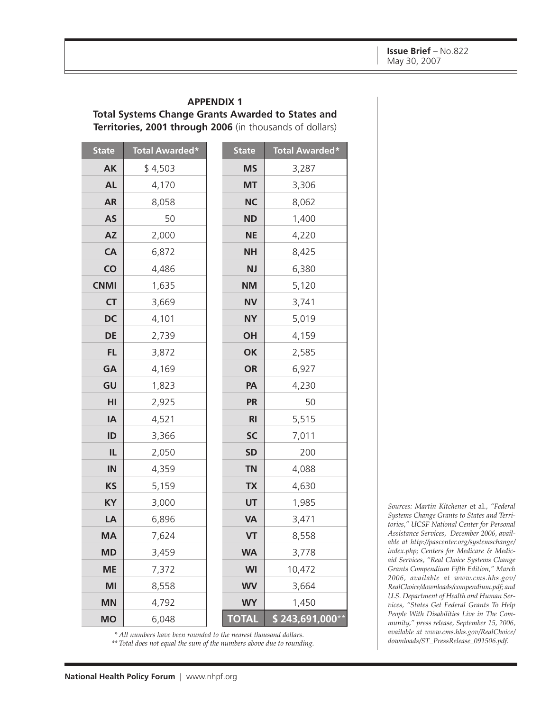#### **APPENDIX 1**

#### **Total Systems Change Grants Awarded to States and**

**Territories, 2001 through 2006** (in thousands of dollars)

| <b>State</b>           | Total Awarded* | <b>State</b>   | <b>Total Awarded*</b> |
|------------------------|----------------|----------------|-----------------------|
| <b>AK</b>              | \$4,503        | <b>MS</b>      | 3,287                 |
| <b>AL</b>              | 4,170          | <b>MT</b>      | 3,306                 |
| <b>AR</b>              | 8,058          | <b>NC</b>      | 8,062                 |
| <b>AS</b>              | 50             | <b>ND</b>      | 1,400                 |
| $\mathsf{A}\mathsf{Z}$ | 2,000          | <b>NE</b>      | 4,220                 |
| CA                     | 6,872          | <b>NH</b>      | 8,425                 |
| CO                     | 4,486          | <b>NJ</b>      | 6,380                 |
| <b>CNMI</b>            | 1,635          | <b>NM</b>      | 5,120                 |
| <b>CT</b>              | 3,669          | <b>NV</b>      | 3,741                 |
| <b>DC</b>              | 4,101          | <b>NY</b>      | 5,019                 |
| DE                     | 2,739          | OH             | 4,159                 |
| <b>FL</b>              | 3,872          | OK             | 2,585                 |
| GA                     | 4,169          | <b>OR</b>      | 6,927                 |
| GU                     | 1,823          | PA             | 4,230                 |
| HI                     | 2,925          | <b>PR</b>      | 50                    |
| IA                     | 4,521          | R <sub>l</sub> | 5,515                 |
| ID                     | 3,366          | <b>SC</b>      | 7,011                 |
| IL                     | 2,050          | <b>SD</b>      | 200                   |
| IN                     | 4,359          | <b>TN</b>      | 4,088                 |
| <b>KS</b>              | 5,159          | <b>TX</b>      | 4,630                 |
| KY                     | 3,000          | UT             | 1,985                 |
| LA                     | 6,896          | <b>VA</b>      | 3,471                 |
| <b>MA</b>              | 7,624          | VT             | 8,558                 |
| <b>MD</b>              | 3,459          | <b>WA</b>      | 3,778                 |
| <b>ME</b>              | 7,372          | <b>WI</b>      | 10,472                |
| MI                     | 8,558          | <b>WV</b>      | 3,664                 |
| <b>MN</b>              | 4,792          | <b>WY</b>      | 1,450                 |
| <b>MO</b>              | 6,048          | <b>TOTAL</b>   | $$243,691,000**$      |

*\* All numbers have been rounded to the nearest thousand dollars.*

*\*\* Total does not equal the sum of the numbers above due to rounding.*

*Sources: Martin Kitchener* et al.*, "Federal Systems Change Grants to States and Territories," UCSF National Center for Personal Assistance Services, December 2006, available at http://pascenter.org/systemschange/ [index.php; Centers for Medicare & Medic](http://pascenter.org/systemschange/index.php)aid Services, "Real Choice Systems Change Grants Compendium Fifth Edition," March 2006, available at www.cms.hhs.gov/ [RealChoice/downloads/compendium.pdf; and](http://www.cms.hhs.gov/RealChoice/downloads/compendium.pdf) U.S. Department of Health and Human Services, "States Get Federal Grants To Help People With Disabilities Live in The Community," press release, September 15, 2006, [available at www.cms.hhs.gov/RealChoice/](http://www.cms.hhs.gov/RealChoice/downloads/ST_PressRelease_091506.pdf) downloads/ST\_PressRelease\_091506.pdf.*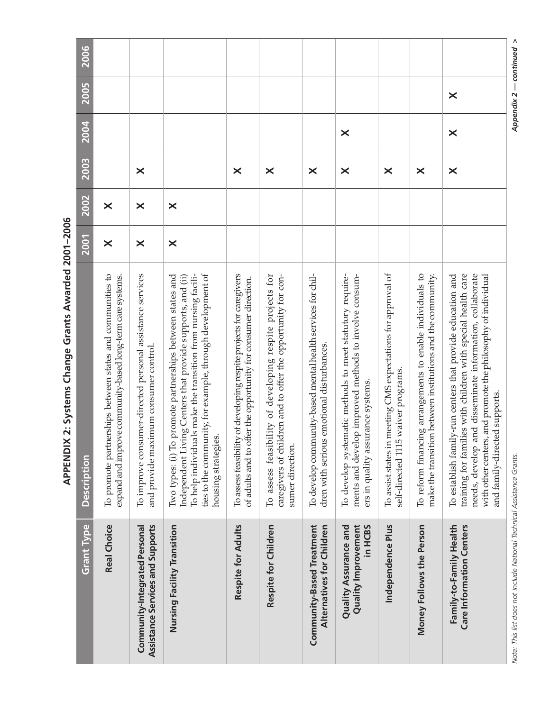| Grant Type                                                            | <b>Description</b>                                                                                                                                                                                                                                                                     | <b>2001</b> | 2002                  | 2003                  | 2004                  | 2005     | 2006 |
|-----------------------------------------------------------------------|----------------------------------------------------------------------------------------------------------------------------------------------------------------------------------------------------------------------------------------------------------------------------------------|-------------|-----------------------|-----------------------|-----------------------|----------|------|
| <b>Real Choice</b>                                                    | To promote partnerships between states and communities to<br>expand and improve community-based long-term care systems.                                                                                                                                                                | $\times$    | $\boldsymbol{\times}$ |                       |                       |          |      |
| Community-Integrated Personal<br>Assistance Services and Supports     | To improve consumer-directed personal assistance services<br>and provide maximum consumer control.                                                                                                                                                                                     | $\times$    | $\boldsymbol{\times}$ | $\times$              |                       |          |      |
| Nursing Facility Transition                                           | ties to the community, for example, through development of<br>To promote partnerships between states and<br>To help individuals make the transition from nursing facili-<br>Independent Living Centers that provide supports, and (ii)<br>housing strategies.<br>Two types: (i)        | $\times$    | $\times$              |                       |                       |          |      |
| Respite for Adults                                                    | To assess feasibility of developing respite projects for caregivers<br>of adults and to offer the opportunity for consumer direction.                                                                                                                                                  |             |                       | $\times$              |                       |          |      |
| Respite for Children                                                  | To assess feasibility of developing respite projects for<br>caregivers of children and to offer the opportunity for con-<br>sumer direction.                                                                                                                                           |             |                       | $\boldsymbol{\times}$ |                       |          |      |
| Community-Based Treatment<br>Alternatives for Children                | To develop community-based mental health services for chil-<br>dren with serious emotional disturbances.                                                                                                                                                                               |             |                       | $\times$              |                       |          |      |
| <b>Quality Assurance and</b><br><b>Quality Improvement</b><br>in HCBS | To develop systematic methods to meet statutory require-<br>ments and develop improved methods to involve consum-<br>ers in quality assurance systems.                                                                                                                                 |             |                       | $\times$              | $\boldsymbol{\times}$ |          |      |
| Independence Plus                                                     | To assist states in meeting CMS expectations for approval of<br>self-directed 1115 waiver programs.                                                                                                                                                                                    |             |                       | $\times$              |                       |          |      |
| Money Follows the Person                                              | To reform financing arrangements to enable individuals to<br>make the transition between institutions and the community.                                                                                                                                                               |             |                       | $\boldsymbol{\times}$ |                       |          |      |
| Family-to-Family Health<br>Care Information Centers                   | needs, develop and disseminate information, collaborate<br>training for families with children with special health care<br>To establish family-run centers that provide education and<br>with other centers, and promote the philosophy of individual<br>and family-directed supports. |             |                       | $\times$              | $\boldsymbol{\times}$ | $\times$ |      |

ı

Τ

APPENDIX 2: Systems Change Grants Awarded 2001-2006 **APPENDIX 2: Systems Change Grants Awarded 2001–2006**

**The Co** 

*Note: This list does not include National Technical Assistance Grants. Appendix 2 — continued >* Note: This list does not include National Technical Assistance Grants.

Appendix  $2$  – continued >